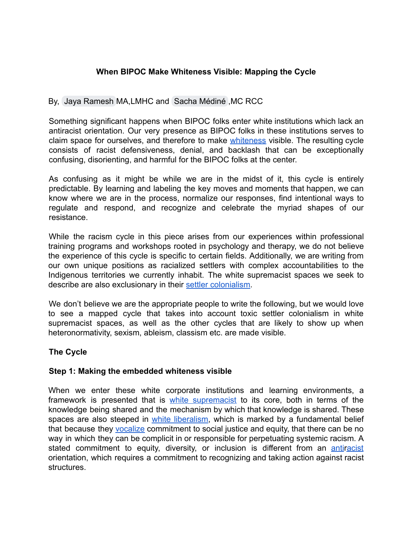# **When BIPOC Make Whiteness Visible: Mapping the Cycle**

# By, [Jaya Ramesh](mailto:jaya@jayarameshcounseling.com) MA,LMHC and [Sacha Médiné](mailto:info@sachamedine.ca) ,MC RCC

Something significant happens when BIPOC folks enter white institutions which lack an antiracist orientation. Our very presence as BIPOC folks in these institutions serves to claim space for ourselves, and therefore to make [whiteness](https://www.racialequitytools.org/glossary#comp-kgsgd1hy__e164bc1b-7a80-489e-adad-8758b25c7232) visible. The resulting cycle consists of racist defensiveness, denial, and backlash that can be exceptionally confusing, disorienting, and harmful for the BIPOC folks at the center.

As confusing as it might be while we are in the midst of it, this cycle is entirely predictable. By learning and labeling the key moves and moments that happen, we can know where we are in the process, normalize our responses, find intentional ways to regulate and respond, and recognize and celebrate the myriad shapes of our resistance.

While the racism cycle in this piece arises from our experiences within professional training programs and workshops rooted in psychology and therapy, we do not believe the experience of this cycle is specific to certain fields. Additionally, we are writing from our own unique positions as racialized settlers with complex accountabilities to the Indigenous territories we currently inhabit. The white supremacist spaces we seek to describe are also exclusionary in their [settler colonialism](https://globalsocialtheory.org/concepts/settler-colonialism/).

We don't believe we are the appropriate people to write the following, but we would love to see a mapped cycle that takes into account toxic settler colonialism in white supremacist spaces, as well as the other cycles that are likely to show up when heteronormativity, sexism, ableism, classism etc. are made visible.

### **The Cycle**

### **Step 1: Making the embedded whiteness visible**

When we enter these white corporate institutions and learning environments, a framework is presented that is white [supremacist](https://www.amherst.edu/campuslife/our-community/multicultural-resource-center/terms-and-definitions) to its core, both in terms of the knowledge being shared and the mechanism by which that knowledge is shared. These spaces are also steeped in white [liberalism,](https://www.cnn.com/2020/08/01/us/white-liberals-hypocrisy-race-blake/index.html) which is marked by a fundamental belief that because they [vocalize](https://www.seattletimes.com/nation-world/liberal-progressive-and-racist-the-sierra-club-faces-its-white-supremacist-history/) commitment to social justice and equity, that there can be no way in which they can be complicit in or responsible for perpetuating systemic racism. A stated commitment to equity, diversity, or inclusion is different from an [antiracist](https://library.fandm.edu/c.php?g=1045768&p=7588278) orientation, which requires a commitment to recognizing and taking action against racist structures.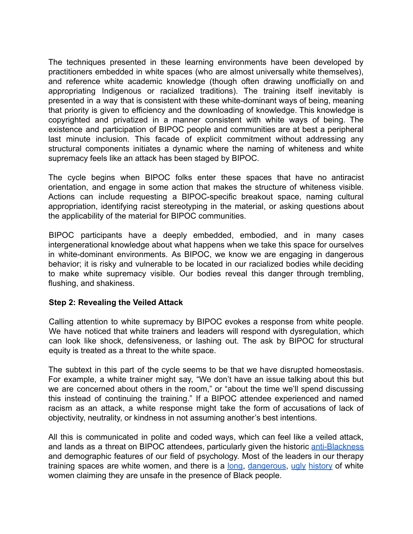The techniques presented in these learning environments have been developed by practitioners embedded in white spaces (who are almost universally white themselves), and reference white academic knowledge (though often drawing unofficially on and appropriating Indigenous or racialized traditions). The training itself inevitably is presented in a way that is consistent with these white-dominant ways of being, meaning that priority is given to efficiency and the downloading of knowledge. This knowledge is copyrighted and privatized in a manner consistent with white ways of being. The existence and participation of BIPOC people and communities are at best a peripheral last minute inclusion. This facade of explicit commitment without addressing any structural components initiates a dynamic where the naming of whiteness and white supremacy feels like an attack has been staged by BIPOC.

The cycle begins when BIPOC folks enter these spaces that have no antiracist orientation, and engage in some action that makes the structure of whiteness visible. Actions can include requesting a BIPOC-specific breakout space, naming cultural appropriation, identifying racist stereotyping in the material, or asking questions about the applicability of the material for BIPOC communities.

BIPOC participants have a deeply embedded, embodied, and in many cases intergenerational knowledge about what happens when we take this space for ourselves in white-dominant environments. As BIPOC, we know we are engaging in dangerous behavior; it is risky and vulnerable to be located in our racialized bodies while deciding to make white supremacy visible. Our bodies reveal this danger through trembling, flushing, and shakiness.

#### **Step 2: Revealing the Veiled Attack**

Calling attention to white supremacy by BIPOC evokes a response from white people. We have noticed that white trainers and leaders will respond with dysregulation, which can look like shock, defensiveness, or lashing out. The ask by BIPOC for structural equity is treated as a threat to the white space.

The subtext in this part of the cycle seems to be that we have disrupted homeostasis. For example, a white trainer might say, "We don't have an issue talking about this but we are concerned about others in the room," or "about the time we'll spend discussing this instead of continuing the training." If a BIPOC attendee experienced and named racism as an attack, a white response might take the form of accusations of lack of objectivity, neutrality, or kindness in not assuming another's best intentions.

All this is communicated in polite and coded ways, which can feel like a veiled attack, and lands as a threat on BIPOC attendees, particularly given the historic [anti-Blackness](https://www.racialequitytools.org/glossary#bgMedia_comp-kh6f6zji) and demographic features of our field of psychology. Most of the leaders in our therapy training spaces are white women, and there is a [long](https://en.wikipedia.org/wiki/Emmett_Till), [dangerous](https://theundefeated.com/features/being-black-in-a-world-where-white-lies-matter/), [ugly](https://www.boston.com/news/local-news/2014/10/22/the-charles-stuart-murders-and-the-racist-branding-boston-just-cant-seem-to-shake) [history](https://www.washingtonpost.com/arts-entertainment/2020/06/23/christian-cooper-central-park-birder-comics/) of white women claiming they are unsafe in the presence of Black people.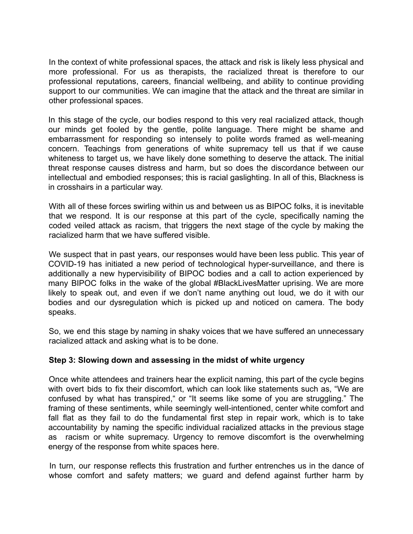In the context of white professional spaces, the attack and risk is likely less physical and more professional. For us as therapists, the racialized threat is therefore to our professional reputations, careers, financial wellbeing, and ability to continue providing support to our communities. We can imagine that the attack and the threat are similar in other professional spaces.

In this stage of the cycle, our bodies respond to this very real racialized attack, though our minds get fooled by the gentle, polite language. There might be shame and embarrassment for responding so intensely to polite words framed as well-meaning concern. Teachings from generations of white supremacy tell us that if we cause whiteness to target us, we have likely done something to deserve the attack. The initial threat response causes distress and harm, but so does the discordance between our intellectual and embodied responses; this is racial gaslighting. In all of this, Blackness is in crosshairs in a particular way.

With all of these forces swirling within us and between us as BIPOC folks, it is inevitable that we respond. It is our response at this part of the cycle, specifically naming the coded veiled attack as racism, that triggers the next stage of the cycle by making the racialized harm that we have suffered visible.

We suspect that in past years, our responses would have been less public. This year of COVID-19 has initiated a new period of technological hyper-surveillance, and there is additionally a new hypervisibility of BIPOC bodies and a call to action experienced by many BIPOC folks in the wake of the global #BlackLivesMatter uprising. We are more likely to speak out, and even if we don't name anything out loud, we do it with our bodies and our dysregulation which is picked up and noticed on camera. The body speaks.

So, we end this stage by naming in shaky voices that we have suffered an unnecessary racialized attack and asking what is to be done.

### **Step 3: Slowing down and assessing in the midst of white urgency**

Once white attendees and trainers hear the explicit naming, this part of the cycle begins with overt bids to fix their discomfort, which can look like statements such as, "We are confused by what has transpired," or "It seems like some of you are struggling." The framing of these sentiments, while seemingly well-intentioned, center white comfort and fall flat as they fail to do the fundamental first step in repair work, which is to take accountability by naming the specific individual racialized attacks in the previous stage as racism or white supremacy. Urgency to remove discomfort is the overwhelming energy of the response from white spaces here.

In turn, our response reflects this frustration and further entrenches us in the dance of whose comfort and safety matters; we guard and defend against further harm by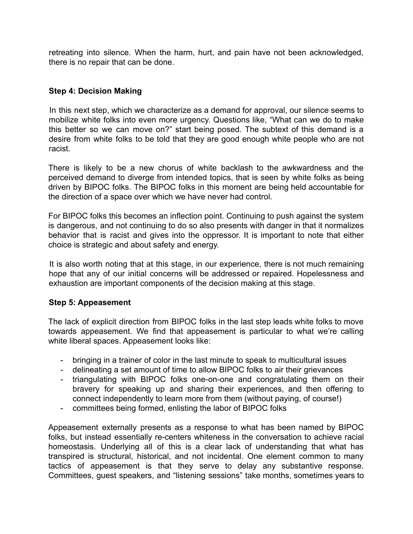retreating into silence. When the harm, hurt, and pain have not been acknowledged, there is no repair that can be done.

### **Step 4: Decision Making**

In this next step, which we characterize as a demand for approval, our silence seems to mobilize white folks into even more urgency. Questions like, "What can we do to make this better so we can move on?" start being posed. The subtext of this demand is a desire from white folks to be told that they are good enough white people who are not racist.

There is likely to be a new chorus of white backlash to the awkwardness and the perceived demand to diverge from intended topics, that is seen by white folks as being driven by BIPOC folks. The BIPOC folks in this moment are being held accountable for the direction of a space over which we have never had control.

For BIPOC folks this becomes an inflection point. Continuing to push against the system is dangerous, and not continuing to do so also presents with danger in that it normalizes behavior that is racist and gives into the oppressor. It is important to note that either choice is strategic and about safety and energy.

It is also worth noting that at this stage, in our experience, there is not much remaining hope that any of our initial concerns will be addressed or repaired. Hopelessness and exhaustion are important components of the decision making at this stage.

#### **Step 5: Appeasement**

The lack of explicit direction from BIPOC folks in the last step leads white folks to move towards appeasement. We find that appeasement is particular to what we're calling white liberal spaces. Appeasement looks like:

- bringing in a trainer of color in the last minute to speak to multicultural issues
- delineating a set amount of time to allow BIPOC folks to air their grievances
- triangulating with BIPOC folks one-on-one and congratulating them on their bravery for speaking up and sharing their experiences, and then offering to connect independently to learn more from them (without paying, of course!)
- committees being formed, enlisting the labor of BIPOC folks

Appeasement externally presents as a response to what has been named by BIPOC folks, but instead essentially re-centers whiteness in the conversation to achieve racial homeostasis. Underlying all of this is a clear lack of understanding that what has transpired is structural, historical, and not incidental. One element common to many tactics of appeasement is that they serve to delay any substantive response. Committees, guest speakers, and "listening sessions" take months, sometimes years to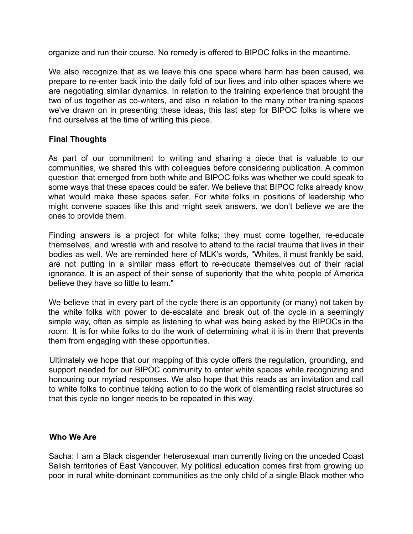organize and run their course. No remedy is offered to BIPOC folks in the meantime.

We also recognize that as we leave this one space where harm has been caused, we prepare to re-enter back into the daily fold of our lives and into other spaces where we are negotiating similar dynamics. In relation to the training experience that brought the two of us together as co-writers, and also in relation to the many other training spaces we've drawn on in presenting these ideas, this last step for BIPOC folks is where we find ourselves at the time of writing this piece.

#### **Final Thoughts**

As part of our commitment to writing and sharing a piece that is valuable to our communities, we shared this with colleagues before considering publication. A common question that emerged from both white and BIPOC folks was whether we could speak to some ways that these spaces could be safer. We believe that BIPOC folks already know what would make these spaces safer. For white folks in positions of leadership who might convene spaces like this and might seek answers, we don't believe we are the ones to provide them.

Finding answers is a project for white folks; they must come together, re-educate themselves, and wrestle with and resolve to attend to the racial trauma that lives in their bodies as well. We are reminded here of MLK's words, "Whites, it must frankly be said, are not putting in a similar mass effort to re-educate themselves out of their racial ignorance. It is an aspect of their sense of superiority that the white people of America believe they have so little to learn."

We believe that in every part of the cycle there is an opportunity (or many) not taken by the white folks with power to de-escalate and break out of the cycle in a seemingly simple way, often as simple as listening to what was being asked by the BIPOCs in the room. It is for white folks to do the work of determining what it is in them that prevents them from engaging with these opportunities.

Ultimately we hope that our mapping of this cycle offers the regulation, grounding, and support needed for our BIPOC community to enter white spaces while recognizing and honouring our myriad responses. We also hope that this reads as an invitation and call to white folks to continue taking action to do the work of dismantling racist structures so that this cycle no longer needs to be repeated in this way.

#### **Who We Are**

Sacha: I am a Black cisgender heterosexual man currently living on the unceded Coast Salish territories of East Vancouver. My political education comes first from growing up poor in rural white-dominant communities as the only child of a single Black mother who